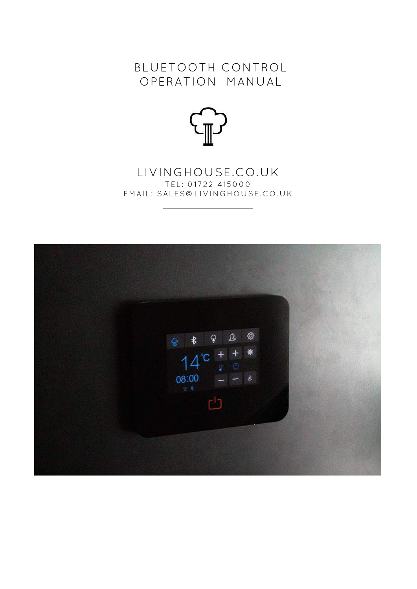# BLUETOOTH CONTROL OPERATION MANUAL



# LIVINGHOUSE.CO.UK TEL: 01722 415000 EMAIL: SALES@LIVINGHOUSE.CO.UK

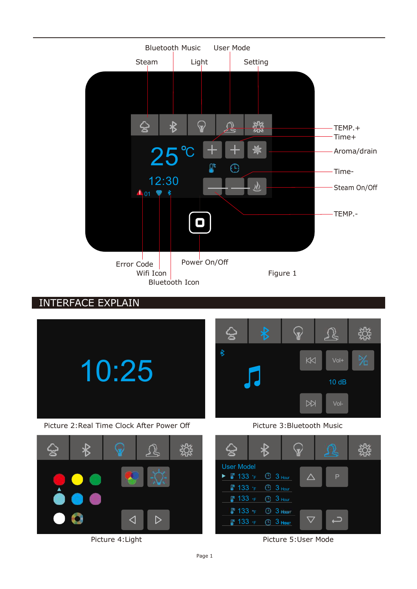

INTERFACE EXPLAIN



 $\triangleright$  $\triangleleft$ 



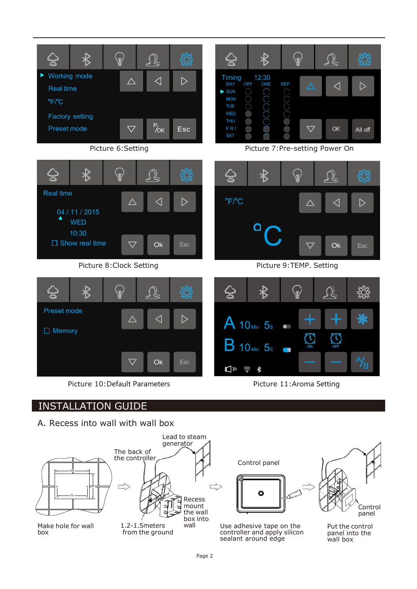

Picture 10: Default Parameters Picture 11: Aroma Setting

# INSTALLATION GUIDE

A. Recess into wall with wall box





Use adhesive tape on the controller and apply silicon sealant around edge

panel into the wall box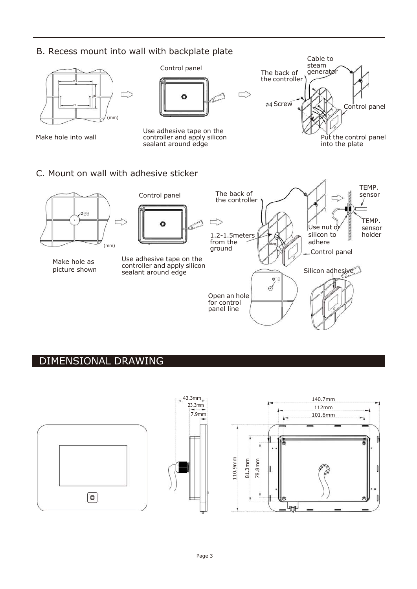## B. Recess mount into wall with backplate plate



# DIMENSIONAL DRAWING

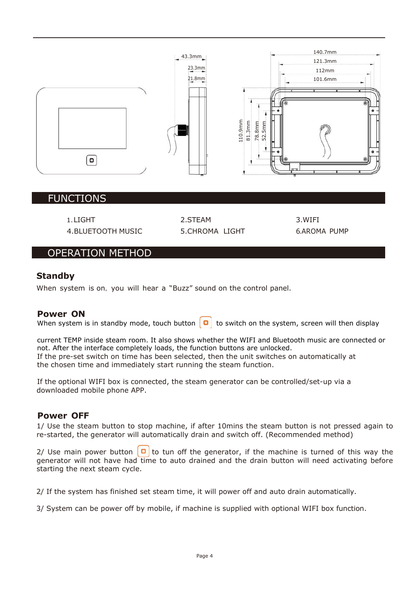

### FUNCTIONS

4.BLUETOOTH MUSIC 5.CHROMA LIGHT 6.AROMA PUMP

1.LIGHT 2.STEAM 3.WIFI

## OPERATION METHOD

#### **Standby**

When system is on, you will hear a "Buzz" sound on the control panel.

#### **Power ON**

When system is in standby mode, touch button  $\boxed{\bullet}$  to switch on the system, screen will then display

current TEMP inside steam room. It also shows whether the WIFI and Bluetooth music are connected or not. After the interface completely loads, the function buttons are unlocked. If the pre-set switch on time has been selected, then the unit switches on automatically at the chosen time and immediately start running the steam function.

If the optional WIFI box is connected, the steam generator can be controlled/set-up via a downloaded mobile phone APP.

### **Power OFF**

1/ Use the steam button to stop machine, if after 10mins the steam button is not pressed again to re-started, the generator will automatically drain and switch off. (Recommended method)

2/ Use main power button  $\begin{bmatrix} 0 \\ 1 \end{bmatrix}$  to tun off the generator, if the machine is turned of this way the generator will not have had time to auto drained and the drain button will need activating before starting the next steam cycle.

2/ If the system has finished set steam time, it will power off and auto drain automatically.

3/ System can be power off by mobile, if machine is supplied with optional WIFI box function.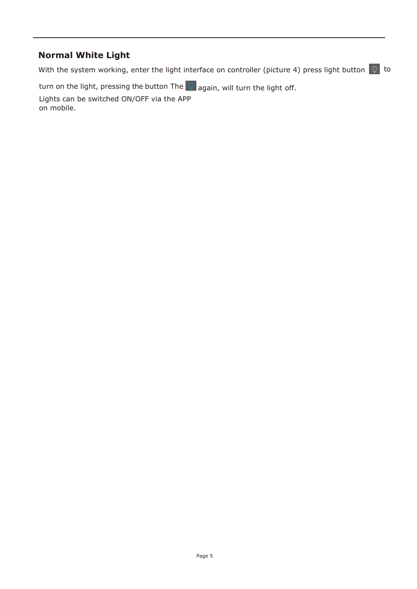# **Normal White Light**

With the system working, enter the light interface on controller (picture 4) press light button  $\sqrt{\hat{N}}$  to

turn on the light, pressing the button The again, will turn the light off.

Lights can be switched ON/OFF via the APP on mobile.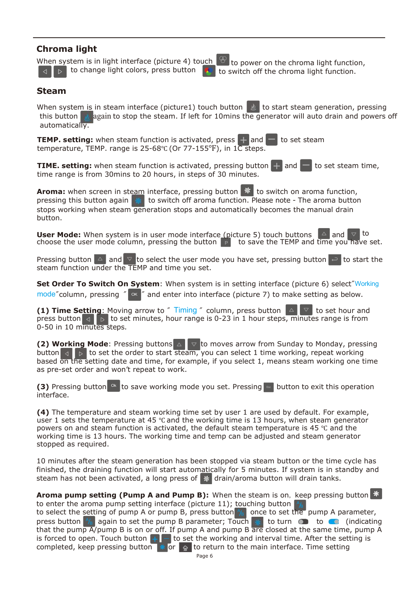## **Chroma light**

When system is in light interface (picture 4) touch  $\heartsuit$  to power on the chroma light function, to change light colors, press button  $\triangleright$ 



to switch off the chroma light function.

#### **Steam**

When system is in steam interface (picture1) touch button  $\| \psi \|$  to start steam generation, pressing this button **and again to stop the steam.** If left for 10mins the generator will auto drain and powers off automatically.

**TEMP. setting:** when steam function is activated, press  $\frac{1}{x}$  and  $\frac{1}{x}$  to set steam temperature, TEMP. range is 25-68℃ (Or 77-155°F), in 1C steps.

**TIME. setting:** when steam function is activated, pressing button  $\pm$  and time range is from 30mins to 20 hours, in steps of 30 minutes. to set steam time,

**Aroma:** when screen in steam interface, pressing button **\*** to switch on aroma function, pressing this button again  $\ast$  to switch off aroma function. Please note - The aroma button stops working when steam generation stops and automatically becomes the manual drain button.

**User Mode:** When system is in user mode interface (picture 5) touch buttons  $\triangle$  and  $\nabla$  to choose the user mode column, pressing the button  $\mathsf{P}_{\mathsf{P}}$  to save the TEMP and time you have set.

Pressing button  $\boxed{\triangle}$  and  $\boxed{\triangledown}$  to select the user mode you have set, pressing button  $\boxed{\triangle}$  to start the steam function under the TEMP and time you set.

mode"column, pressing "  $\alpha$  " and enter into interface (picture 7) to make setting as below. **Set Order To Switch On System**: When system is in setting interface (picture 6) select"Working

**(1) Time Setting**: Moving arrow to " Timing " column, press button  $\boxed{\triangle}$   $\boxed{\triangledown}$  to set hour and press button  $\triangleleft$  **b** to set minutes, hour range is 0-23 in 1 hour steps, minutes range is from 0-50 in 10 minutes steps.

**(2) Working Mode**: Pressing buttons  $\triangle \triangledown$  to moves arrow from Sunday to Monday, pressing button  $\triangleleft$  to set the order to start steam, you can select 1 time working, repeat working based on the setting date and time, for example, if you select 1, means steam working one time as pre-set order and won't repeat to work.

**(3)** Pressing button <sup>ok</sup> to save working mode you set. Pressing **button** to exit this operation interface.

**(4)** The temperature and steam working time set by user 1 are used by default. For example, user 1 sets the temperature at 45 ℃ and the working time is 13 hours, when steam generator powers on and steam function is activated, the default steam temperature is 45 ℃ and the working time is 13 hours. The working time and temp can be adjusted and steam generator stopped as required.

10 minutes after the steam generation has been stopped via steam button or the time cycle has finished, the draining function will start automatically for 5 minutes. If system is in standby and steam has not been activated, a long press of  $\frac{1}{2}$  drain/aroma button will drain tanks.

press button  $\frac{A}{B}$  again to set the pump B parameter; Touch **Aroma pump setting (Pump A and Pump B):** When the steam is on, keep pressing button to enter the aroma pump setting interface (picture 11); touching button to select the setting of pump A or pump B, press button  $\frac{1}{16}$  once to set the pump A parameter, press button  $\frac{N_{\text{B}}}{\text{G}}$  again to set the pump B parameter; Touch  $\frac{1}{N_{\text{B}}}$  to turn  $\bullet$  to ( $\bullet$  (indicating that the pump A/pump B is on or off. If pump A and pump B are closed at the same time, pump A is forced to open. Touch button  $\left|+\right|$  to set the working and interval time. After the setting is completed, keep pressing button  $\frac{1}{2}$  or  $\frac{1}{2}$  to return to the main interface. Time setting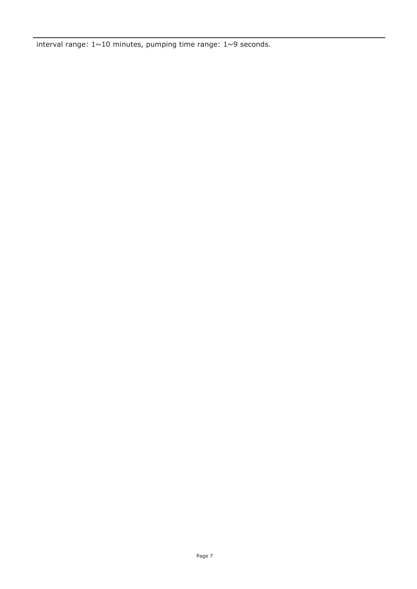interval range:  $1 \sim 10$  minutes, pumping time range:  $1 \sim 9$  seconds.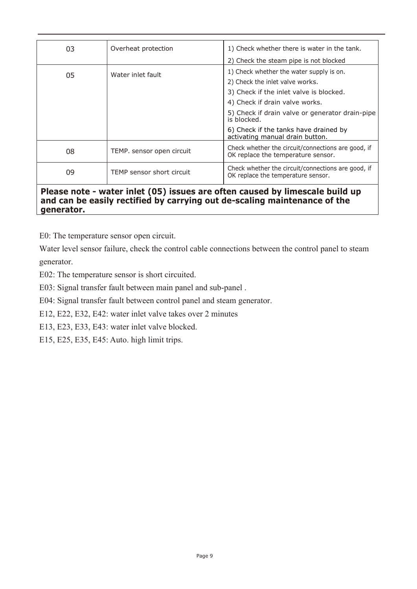| 03 | Overheat protection       | 1) Check whether there is water in the tank.<br>2) Check the steam pipe is not blocked                                                                   |  |  |  |
|----|---------------------------|----------------------------------------------------------------------------------------------------------------------------------------------------------|--|--|--|
| 05 | Water inlet fault         | 1) Check whether the water supply is on.<br>2) Check the inlet valve works.<br>3) Check if the inlet valve is blocked.<br>4) Check if drain valve works. |  |  |  |
|    |                           | 5) Check if drain valve or generator drain-pipe<br>is blocked.<br>6) Check if the tanks have drained by<br>activating manual drain button.               |  |  |  |
| 08 | TEMP. sensor open circuit | Check whether the circuit/connections are good, if<br>OK replace the temperature sensor.                                                                 |  |  |  |
| 09 | TEMP sensor short circuit | Check whether the circuit/connections are good, if<br>OK replace the temperature sensor.                                                                 |  |  |  |

#### **Please note - water inlet (05) issues are often caused by limescale build up and can be easily rectified by carrying out de-scaling maintenance of the generator.**

E0: The temperature sensor open circuit.

Water level sensor failure, check the control cable connections between the control panel to steam generator.

E02: The temperature sensor is short circuited.

E03: Signal transfer fault between main panel and sub-panel .

E04: Signal transfer fault between control panel and steam generator.

E12, E22, E32, E42: water inlet valve takes over 2 minutes

E13, E23, E33, E43: water inlet valve blocked.

E15, E25, E35, E45: Auto. high limit trips.